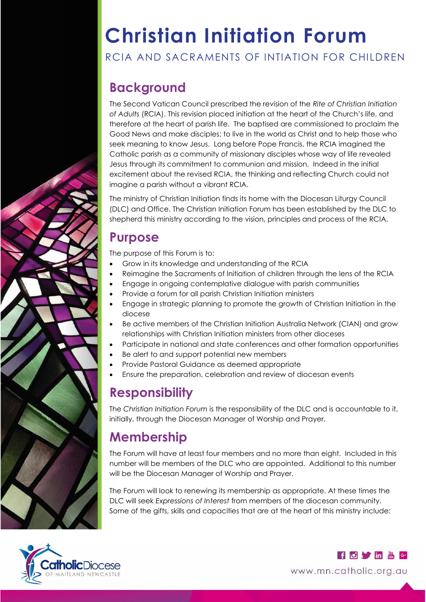# **Christian Initiation Forum**

#### RCIA AND SACRAMENTS OF INTIATION FOR CHILDREN

# **Background**

The Second Vatican Council prescribed the revision of the *Rite of Christian Initiation of Adults* (RCIA). This revision placed initiation at the heart of the Church's life, and therefore at the heart of parish life. The baptised are commissioned to proclaim the Good News and make disciples; to live in the world as Christ and to help those who seek meaning to know Jesus. Long before Pope Francis, the RCIA imagined the Catholic parish as a community of missionary disciples whose way of life revealed Jesus through its commitment to communion and mission. Indeed in the initial excitement about the revised RCIA, the thinking and reflecting Church could not imagine a parish without a vibrant RCIA.

The ministry of Christian Initiation finds its home with the Diocesan Liturgy Council (DLC) and Office. The Christian Initiation Forum has been established by the DLC to shepherd this ministry according to the vision, principles and process of the RCIA.

### **Purpose**

The purpose of this Forum is to:

- Grow in its knowledge and understanding of the RCIA
- Reimagine the Sacraments of Initiation of children through the lens of the RCIA
- Engage in ongoing contemplative dialogue with parish communities
- Provide a forum for all parish Christian Initiation ministers
- Engage in strategic planning to promote the growth of Christian Initiation in the diocese
- Be active members of the Christian Initiation Australia Network (CIAN) and grow relationships with Christian Initiation ministers from other dioceses
- Participate in national and state conferences and other formation opportunities
- Be alert to and support potential new members
- Provide Pastoral Guidance as deemed appropriate
- Ensure the preparation, celebration and review of diocesan events

## **Responsibility**

The *Christian Initiation Forum* is the responsibility of the DLC and is accountable to it, initially, through the Diocesan Manager of Worship and Prayer.

## **Membership**

The Forum will have at least four members and no more than eight. Included in this number will be members of the DLC who are appointed. Additional to this number will be the Diocesan Manager of Worship and Prayer.

The Forum will look to renewing its membership as appropriate. At these times the DLC will seek *Expressions of Interest* from members of the diocesan community. Some of the gifts, skills and capacities that are at the heart of this ministry include:



**for the district of the district of the district of the district of the district of the district of the district of the district of the district of the district of the district of the district of the district of the distr** www.mn.catholic.org.au